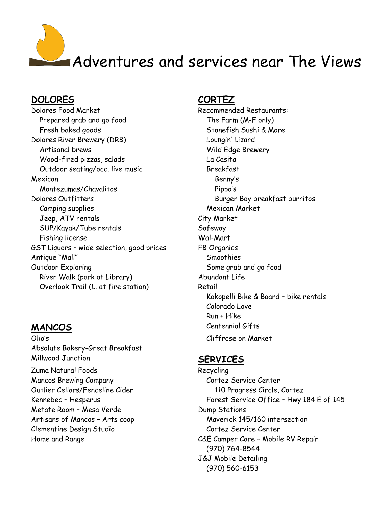# Adventures and services near The Views

## **DOLORES CORTEZ**

Dolores Food Market Recommended Restaurants: Prepared grab and go food The Farm (M-F only) Fresh baked goods Stonefish Sushi & More Dolores River Brewery (DRB) Loungin' Lizard Artisanal brews The Communication of the Wild Edge Brewery Wood-fired pizzas, salads La Casita Outdoor seating/occ. live music Breakfast Mexican Benny's Montezumas/Chavalitos Pippo's Dolores Outfitters and the Burger Boy breakfast burritos Camping supplies and the Mexican Market Jeep, ATV rentals City Market SUP/Kayak/Tube rentals Superson Safeway Fishing license Wal-Mart GST Liquors - wide selection, good prices FB Organics Antique "Mall" Smoothies Outdoor Exploring Some grab and go food River Walk (park at Library) Abundant Life Overlook Trail (L. at fire station) Retail

Olio's Cliffrose on Market Absolute Bakery-Great Breakfast Millwood Junction **SERVICES** Zuma Natural Foods Recycling Mancos Brewing Company Cortez Service Center Outlier Cellars/Fenceline Cider 110 Progress Circle, Cortez Metate Room – Mesa Verde Dump Stations Clementine Design Studio Cortez Service Center

 Kokopelli Bike & Board – bike rentals Colorado Love Run + Hike **MANCOS** Centennial Gifts

Kennebec - Hesperus **Forest Service Office - Hwy 184 E** of 145 Artisans of Mancos - Arts coop Maverick 145/160 intersection Home and Range The Case Camper Care – Mobile RV Repair (970) 764-8544 J&J Mobile Detailing (970) 560-6153